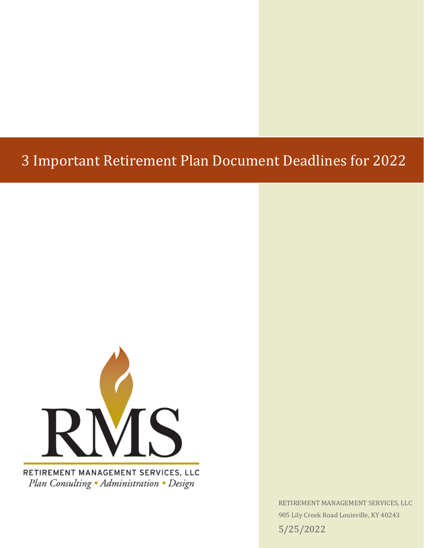## 3 Important Retirement Plan Document Deadlines for 2022



Plan Consulting · Administration · Design

RETIREMENT MANAGEMENT SERVICES, LLC 905 Lily Creek Road Louisville, KY 40243 5/25/2022